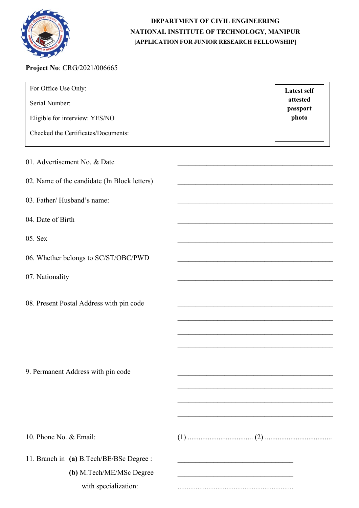

## DEPARTMENT OF CIVIL ENGINEERING NATIONAL INSTITUTE OF TECHNOLOGY, MANIPUR [APPLICATION FOR JUNIOR RESEARCH FELLOWSHIP]

## Project No: CRG/2021/006665

| For Office Use Only:<br>Serial Number:                                | <b>Latest self</b><br>attested<br>passport                                                                                                               |
|-----------------------------------------------------------------------|----------------------------------------------------------------------------------------------------------------------------------------------------------|
| Eligible for interview: YES/NO<br>Checked the Certificates/Documents: | photo                                                                                                                                                    |
| 01. Advertisement No. & Date                                          |                                                                                                                                                          |
| 02. Name of the candidate (In Block letters)                          |                                                                                                                                                          |
| 03. Father/Husband's name:                                            |                                                                                                                                                          |
| 04. Date of Birth                                                     |                                                                                                                                                          |
| 05. Sex                                                               |                                                                                                                                                          |
| 06. Whether belongs to SC/ST/OBC/PWD                                  |                                                                                                                                                          |
| 07. Nationality                                                       |                                                                                                                                                          |
| 08. Present Postal Address with pin code                              |                                                                                                                                                          |
| 9. Permanent Address with pin code                                    |                                                                                                                                                          |
| 10. Phone No. & Email:                                                |                                                                                                                                                          |
| 11. Branch in (a) B.Tech/BE/BSc Degree :<br>(b) M.Tech/ME/MSc Degree  | the control of the control of the control of the control of the control of the control of<br><u> 1950 - Paris Antonio Alemania de Article (m. 1950).</u> |
| with specialization:                                                  |                                                                                                                                                          |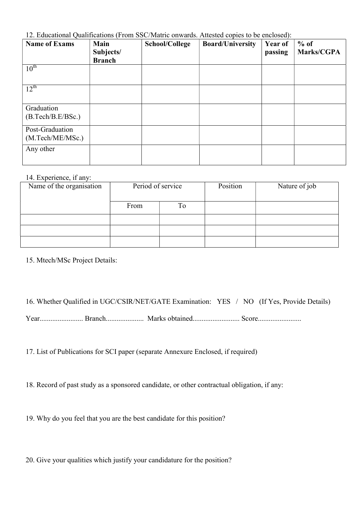12. Educational Qualifications (From SSC/Matric onwards. Attested copies to be enclosed):

| <b>Name of Exams</b>                | Main<br>Subjects/<br><b>Branch</b> | School/College | <b>Board/University</b> | Year of<br>passing | $%$ of<br>Marks/CGPA |
|-------------------------------------|------------------------------------|----------------|-------------------------|--------------------|----------------------|
| $10^{\text{th}}$                    |                                    |                |                         |                    |                      |
| $12^{\text{th}}$                    |                                    |                |                         |                    |                      |
| Graduation<br>(B.Tech/B.E/BSc.)     |                                    |                |                         |                    |                      |
| Post-Graduation<br>(M.Tech/ME/MSc.) |                                    |                |                         |                    |                      |
| Any other                           |                                    |                |                         |                    |                      |

## 14. Experience, if any:

| Name of the organisation | Period of service |    | Position | Nature of job |
|--------------------------|-------------------|----|----------|---------------|
|                          | From              | To |          |               |
|                          |                   |    |          |               |
|                          |                   |    |          |               |
|                          |                   |    |          |               |

15. Mtech/MSc Project Details:

16. Whether Qualified in UGC/CSIR/NET/GATE Examination: YES / NO (If Yes, Provide Details)

Year........................ Branch..................... Marks obtained.......................... Score........................

17. List of Publications for SCI paper (separate Annexure Enclosed, if required)

18. Record of past study as a sponsored candidate, or other contractual obligation, if any:

19. Why do you feel that you are the best candidate for this position?

20. Give your qualities which justify your candidature for the position?